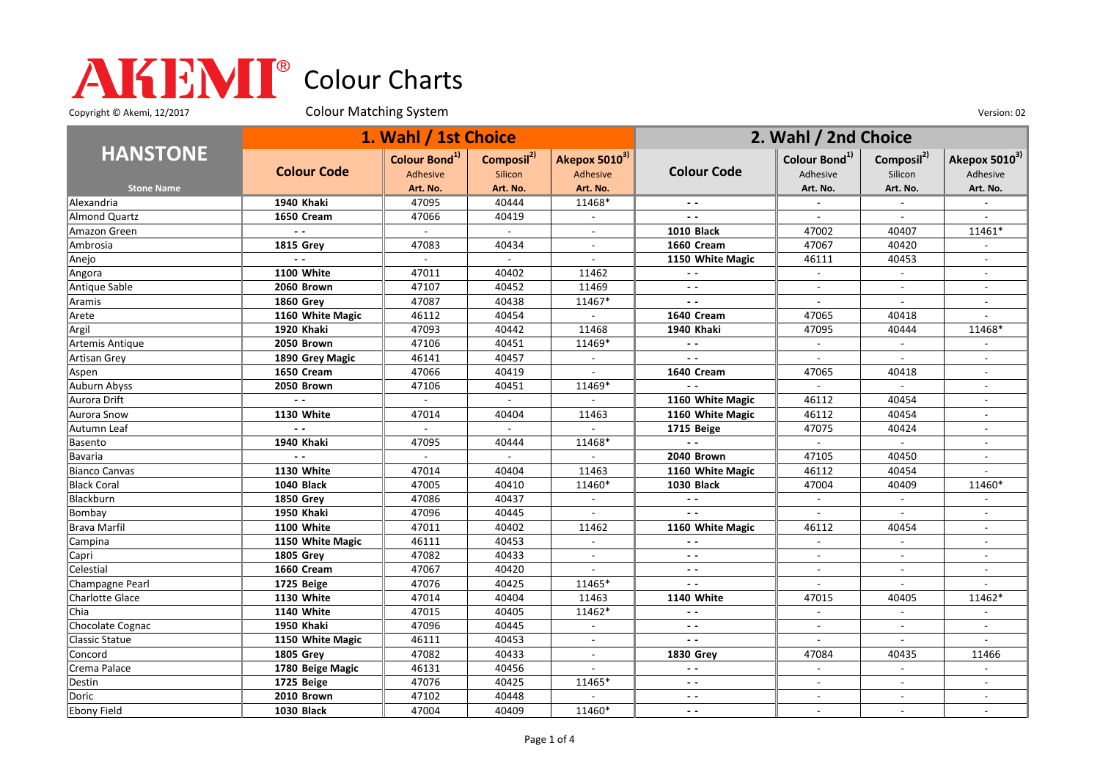Copyright © Akemi, 12/2017 Colour Matching System Colour Matching Consumers Colour Colour Matching System Version: 02

|                      | 1. Wahl / 1st Choice |                                       |                                          |                             | 2. Wahl / 2nd Choice |                                       |                                   |                           |
|----------------------|----------------------|---------------------------------------|------------------------------------------|-----------------------------|----------------------|---------------------------------------|-----------------------------------|---------------------------|
| <b>HANSTONE</b>      | <b>Colour Code</b>   | Colour Bond <sup>1)</sup><br>Adhesive | Composil <sup>2)</sup><br><b>Silicon</b> | Akepox 50103)<br>Adhesive   | <b>Colour Code</b>   | Colour Bond <sup>1)</sup><br>Adhesive | Composil <sup>2)</sup><br>Silicon | Akepox 50103)<br>Adhesive |
| <b>Stone Name</b>    |                      | Art. No.                              | Art. No.                                 | Art. No.                    |                      | Art. No.                              | Art. No.                          | Art. No.                  |
| Alexandria           | 1940 Khaki           | 47095                                 | 40444                                    | 11468*                      |                      | $\overline{\phantom{a}}$              | $\overline{\phantom{a}}$          | $\sim$                    |
| <b>Almond Quartz</b> | 1650 Cream           | 47066                                 | 40419                                    | $\overline{\phantom{a}}$    | $\sim$ $\sim$        | $\blacksquare$                        | $\overline{\phantom{a}}$          | $\sim$                    |
| Amazon Green         |                      |                                       | $\mathbf{r}$                             |                             | <b>1010 Black</b>    | 47002                                 | 40407                             | 11461*                    |
| Ambrosia             | <b>1815 Grev</b>     | 47083                                 | 40434                                    |                             | 1660 Cream           | 47067                                 | 40420                             |                           |
| Anejo                |                      |                                       |                                          | $\sim$                      | 1150 White Magic     | 46111                                 | 40453                             |                           |
| Angora               | <b>1100 White</b>    | 47011                                 | 40402                                    | 11462                       | $ -$                 | $\mathbb{L}^{\mathbb{N}}$             | $\blacksquare$                    | $\overline{\phantom{a}}$  |
| Antique Sable        | 2060 Brown           | 47107                                 | 40452                                    | 11469                       | $ -$                 | $\overline{a}$                        | $\sim$                            |                           |
| Aramis               | <b>1860 Grev</b>     | 47087                                 | 40438                                    | 11467*                      | $\sim$ $\sim$        | $\overline{a}$                        | $\overline{\phantom{a}}$          | $\overline{a}$            |
| Arete                | 1160 White Magic     | 46112                                 | 40454                                    | $\sim$                      | 1640 Cream           | 47065                                 | 40418                             |                           |
| Argil                | 1920 Khaki           | 47093                                 | 40442                                    | 11468                       | 1940 Khaki           | 47095                                 | 40444                             | 11468*                    |
| Artemis Antique      | 2050 Brown           | 47106                                 | 40451                                    | 11469*                      | $\sim$ $\sim$        | $\overline{\phantom{a}}$              | $\overline{\phantom{a}}$          |                           |
| Artisan Grey         | 1890 Grey Magic      | 46141                                 | 40457                                    | $\blacksquare$              | $\sim$ $\sim$        | $\overline{\phantom{a}}$              | $\overline{\phantom{a}}$          |                           |
| Aspen                | 1650 Cream           | 47066                                 | 40419                                    | $\overline{\phantom{a}}$    | 1640 Cream           | 47065                                 | 40418                             | $\sim$                    |
| Auburn Abyss         | 2050 Brown           | 47106                                 | 40451                                    | 11469*                      | $\sim$ $\sim$        | $\mathcal{L}_{\mathcal{A}}$           | $\mathbf{r}$                      |                           |
| Aurora Drift         | $\overline{a}$       |                                       |                                          |                             | 1160 White Magic     | 46112                                 | 40454                             |                           |
| Aurora Snow          | 1130 White           | 47014                                 | 40404                                    | 11463                       | 1160 White Magic     | 46112                                 | 40454                             | $\overline{\phantom{a}}$  |
| Autumn Leaf          |                      |                                       |                                          |                             | 1715 Beige           | 47075                                 | 40424                             | $\overline{\phantom{a}}$  |
| Basento              | 1940 Khaki           | 47095                                 | 40444                                    | 11468*                      | $\sim$ $\sim$        | $\mathcal{L}^{\mathcal{L}}$           | $\blacksquare$                    |                           |
| Bavaria              | $\sim$ $\sim$        |                                       | $\mathbf{r}$                             | $\sim$                      | 2040 Brown           | 47105                                 | 40450                             |                           |
| <b>Bianco Canvas</b> | <b>1130 White</b>    | 47014                                 | 40404                                    | 11463                       | 1160 White Magic     | 46112                                 | 40454                             |                           |
| <b>Black Coral</b>   | <b>1040 Black</b>    | 47005                                 | 40410                                    | 11460*                      | <b>1030 Black</b>    | 47004                                 | 40409                             | 11460*                    |
| Blackburn            | <b>1850 Grev</b>     | 47086                                 | 40437                                    | $\blacksquare$              | $\sim$ $\sim$        | $\overline{\phantom{a}}$              | $\sim$                            |                           |
| Bombay               | <b>1950 Khaki</b>    | 47096                                 | 40445                                    | $\sim$                      | $\sim$ $\sim$        | $\overline{\phantom{a}}$              | $\mathbf{r}$                      |                           |
| Brava Marfil         | 1100 White           | 47011                                 | 40402                                    | 11462                       | 1160 White Magic     | 46112                                 | 40454                             |                           |
| Campina              | 1150 White Magic     | 46111                                 | 40453                                    | $\mathbf{r}$                | $\sim$ $\sim$        | $\overline{a}$                        |                                   |                           |
| Capri                | <b>1805 Grey</b>     | 47082                                 | 40433                                    | $\overline{\phantom{a}}$    | $\sim$ $\sim$        | $\overline{\phantom{a}}$              | $\overline{\phantom{a}}$          | $\overline{\phantom{a}}$  |
| Celestial            | 1660 Cream           | 47067                                 | 40420                                    |                             | $ -$                 | $\overline{\phantom{a}}$              | $\overline{\phantom{a}}$          |                           |
| Champagne Pearl      | 1725 Beige           | 47076                                 | 40425                                    | 11465*                      | $\sim$ $\sim$        | $\overline{\phantom{a}}$              | $\overline{\phantom{a}}$          | $\overline{\phantom{a}}$  |
| Charlotte Glace      | 1130 White           | 47014                                 | 40404                                    | 11463                       | <b>1140 White</b>    | 47015                                 | 40405                             | 11462*                    |
| Chia                 | 1140 White           | 47015                                 | 40405                                    | 11462*                      | $\sim$ $\sim$        | $\overline{a}$                        | $\mathcal{L}_{\mathcal{A}}$       |                           |
| Chocolate Cognac     | 1950 Khaki           | 47096                                 | 40445                                    | $\mathcal{L}_{\mathcal{A}}$ | $ -$                 | $\overline{\phantom{a}}$              | $\overline{\phantom{a}}$          | $\overline{\phantom{a}}$  |
| Classic Statue       | 1150 White Magic     | 46111                                 | 40453                                    | $\overline{\phantom{a}}$    | $ -$                 | $\overline{\phantom{a}}$              |                                   |                           |
| Concord              | <b>1805 Grev</b>     | 47082                                 | 40433                                    | $\overline{\phantom{a}}$    | <b>1830 Grey</b>     | 47084                                 | 40435                             | 11466                     |
| Crema Palace         | 1780 Beige Magic     | 46131                                 | 40456                                    |                             | $\sim$ $\sim$        |                                       | $\overline{\phantom{a}}$          |                           |
| Destin               | 1725 Beige           | 47076                                 | 40425                                    | 11465*                      | $\sim$ $\sim$        |                                       |                                   |                           |
| <b>Doric</b>         | 2010 Brown           | 47102                                 | 40448                                    |                             | $ -$                 | $\overline{a}$                        | $\sim$                            | $\overline{\phantom{a}}$  |
| Ebony Field          | <b>1030 Black</b>    | 47004                                 | 40409                                    | 11460*                      | $ -$                 |                                       |                                   |                           |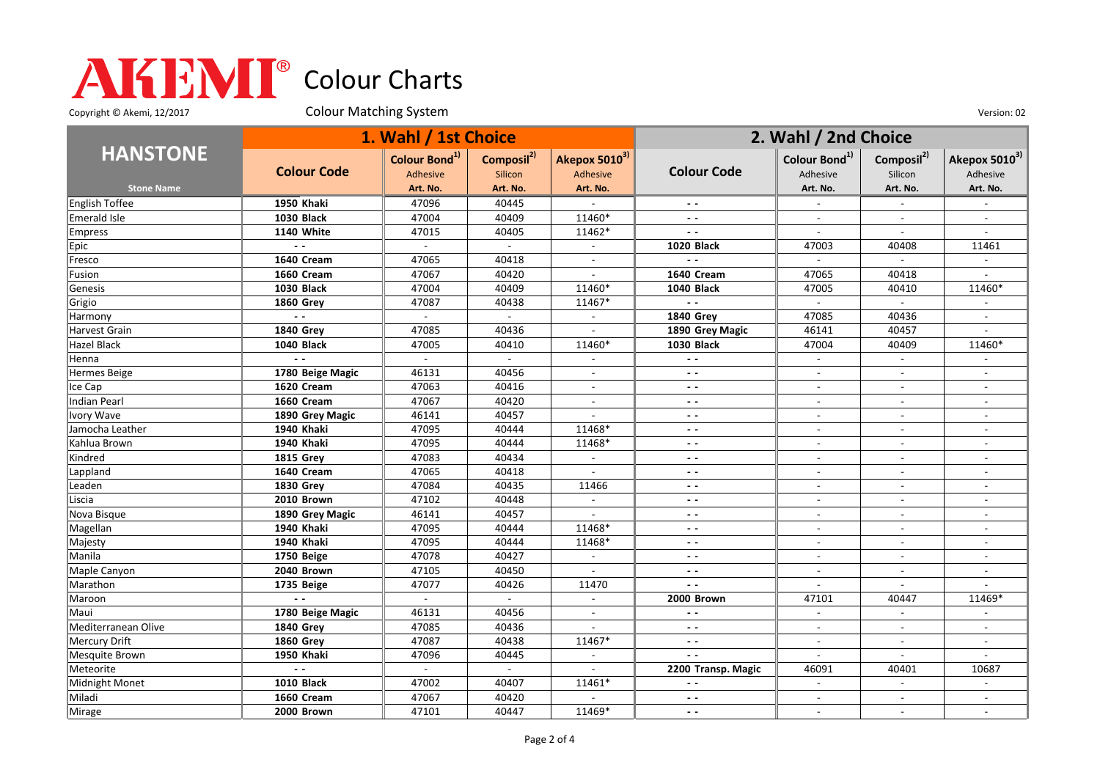Copyright © Akemi, 12/2017 Colour Matching System Colour Matching Constant Constant Out of the Version: 02

|                       | 1. Wahl / 1st Choice |                                       |                                   |                           | 2. Wahl / 2nd Choice     |                                       |                                   |                           |
|-----------------------|----------------------|---------------------------------------|-----------------------------------|---------------------------|--------------------------|---------------------------------------|-----------------------------------|---------------------------|
| <b>HANSTONE</b>       | <b>Colour Code</b>   | Colour Bond <sup>1)</sup><br>Adhesive | Composil <sup>2)</sup><br>Silicon | Akepox 50103)<br>Adhesive | <b>Colour Code</b>       | Colour Bond <sup>1)</sup><br>Adhesive | Composil <sup>2)</sup><br>Silicon | Akepox 50103)<br>Adhesive |
| <b>Stone Name</b>     |                      | Art. No.                              | Art. No.                          | Art. No.                  |                          | Art. No.                              | Art. No.                          | Art. No.                  |
| English Toffee        | <b>1950 Khaki</b>    | 47096                                 | 40445                             |                           |                          |                                       |                                   |                           |
| Emerald Isle          | <b>1030 Black</b>    | 47004                                 | 40409                             | 11460*                    | $\sim$ $\sim$            | $\overline{a}$                        | $\overline{\phantom{a}}$          | $\sim$                    |
| <b>Empress</b>        | <b>1140 White</b>    | 47015                                 | 40405                             | 11462*                    | $\overline{\phantom{a}}$ | $\overline{\phantom{a}}$              | $\overline{\phantom{a}}$          |                           |
| Epic                  | $\sim$ $\sim$        | $\sim$                                | $\sim$                            | $\blacksquare$            | <b>1020 Black</b>        | 47003                                 | 40408                             | 11461                     |
| Fresco                | 1640 Cream           | 47065                                 | 40418                             |                           | $\sim$ $\sim$            | $\sim$                                | $\sim$                            |                           |
| Fusion                | 1660 Cream           | 47067                                 | 40420                             |                           | 1640 Cream               | 47065                                 | 40418                             |                           |
| Genesis               | <b>1030 Black</b>    | 47004                                 | 40409                             | 11460*                    | <b>1040 Black</b>        | 47005                                 | 40410                             | 11460*                    |
| Grigio                | <b>1860 Grey</b>     | 47087                                 | 40438                             | 11467*                    | $\sim$ $\sim$            | $\mathcal{L}$                         | $\overline{\phantom{a}}$          |                           |
| Harmony               | $\sim$ $\sim$        | $\sim$                                | $\sim$                            | $\blacksquare$            | <b>1840 Grev</b>         | 47085                                 | 40436                             | $\sim$                    |
| <b>Harvest Grain</b>  | <b>1840 Grey</b>     | 47085                                 | 40436                             |                           | 1890 Grey Magic          | 46141                                 | 40457                             |                           |
| <b>Hazel Black</b>    | <b>1040 Black</b>    | 47005                                 | 40410                             | 11460*                    | <b>1030 Black</b>        | 47004                                 | 40409                             | 11460*                    |
| Henna                 | $\sim$ $\sim$        | $\mathcal{L}$                         | $\mathcal{L}^{\mathcal{L}}$       | $\overline{a}$            | $\sim$ $\sim$            | $\blacksquare$                        | $\sim$                            |                           |
| <b>Hermes Beige</b>   | 1780 Beige Magic     | 46131                                 | 40456                             | $\blacksquare$            | $\sim$ $\sim$            | $\overline{\phantom{a}}$              | $\overline{\phantom{a}}$          |                           |
| Ice Cap               | 1620 Cream           | 47063                                 | 40416                             | $\overline{\phantom{a}}$  | $ -$                     | $\blacksquare$                        | $\blacksquare$                    | $\overline{\phantom{a}}$  |
| <b>Indian Pearl</b>   | 1660 Cream           | 47067                                 | 40420                             |                           | $ -$                     | $\overline{\phantom{a}}$              | $\sim$                            |                           |
| <b>Ivory Wave</b>     | 1890 Grey Magic      | 46141                                 | 40457                             | $\overline{a}$            | $\sim$ $\sim$            | $\overline{a}$                        | $\overline{a}$                    |                           |
| Jamocha Leather       | 1940 Khaki           | 47095                                 | 40444                             | 11468*                    | $ -$                     | $\overline{\phantom{a}}$              | $\blacksquare$                    | $\overline{\phantom{a}}$  |
| Kahlua Brown          | 1940 Khaki           | 47095                                 | 40444                             | 11468*                    | $\sim$ $\sim$            | $\overline{\phantom{a}}$              | $\sim$                            | $\overline{\phantom{a}}$  |
| Kindred               | <b>1815 Grey</b>     | 47083                                 | 40434                             | $\overline{a}$            | $ -$                     | $\overline{\phantom{a}}$              | $\sim$                            | $\overline{\phantom{a}}$  |
| Lappland              | 1640 Cream           | 47065                                 | 40418                             |                           | $\overline{\phantom{a}}$ |                                       |                                   |                           |
| Leaden                | 1830 Grey            | 47084                                 | 40435                             | 11466                     | $ -$                     | $\overline{a}$                        | $\sim$                            | $\overline{a}$            |
| Liscia                | 2010 Brown           | 47102                                 | 40448                             | $\sim$                    | $\sim$ $\sim$            | $\overline{\phantom{a}}$              | $\blacksquare$                    |                           |
| Nova Bisque           | 1890 Grey Magic      | 46141                                 | 40457                             | $\overline{a}$            | $ -$                     | $\overline{a}$                        | $\overline{a}$                    |                           |
| Magellan              | 1940 Khaki           | 47095                                 | 40444                             | 11468*                    | $\sim$ $\sim$            | $\overline{\phantom{a}}$              | $\overline{\phantom{a}}$          | $\overline{\phantom{a}}$  |
| Majesty               | 1940 Khaki           | 47095                                 | 40444                             | 11468*                    | $ -$                     | $\blacksquare$                        |                                   |                           |
| Manila                | 1750 Beige           | 47078                                 | 40427                             | $\mathbb{Z}^{\mathbb{Z}}$ | $ -$                     | $\sim$                                | $\blacksquare$                    | $\overline{\phantom{a}}$  |
| Maple Canyon          | 2040 Brown           | 47105                                 | 40450                             | $\blacksquare$            | $\sim$ $\sim$            | $\blacksquare$                        | $\blacksquare$                    | $\overline{\phantom{a}}$  |
| Marathon              | 1735 Beige           | 47077                                 | 40426                             | 11470                     | $\sim$ $\sim$            | $\overline{a}$                        | $\mathbf{r}$                      |                           |
| Maroon                | $\sim$ $\sim$        | $\sim$                                | $\mathbb{L}$                      |                           | 2000 Brown               | 47101                                 | 40447                             | 11469*                    |
| Maui                  | 1780 Beige Magic     | 46131                                 | 40456                             | $\overline{a}$            | $\sim$ $\sim$            |                                       |                                   |                           |
| Mediterranean Olive   | <b>1840 Grey</b>     | 47085                                 | 40436                             | $\blacksquare$            | $ -$                     | $\sim$                                | $\overline{\phantom{a}}$          | $\overline{\phantom{a}}$  |
| <b>Mercury Drift</b>  | <b>1860 Grey</b>     | 47087                                 | 40438                             | 11467*                    | $ -$                     | $\overline{\phantom{a}}$              | $\overline{\phantom{a}}$          |                           |
| <b>Mesquite Brown</b> | 1950 Khaki           | 47096                                 | 40445                             | $\overline{\phantom{a}}$  | $\sim$ $\sim$            | $\blacksquare$                        | $\mathbf{r}$                      |                           |
| Meteorite             | $\overline{a}$       | $\sim$                                | $\overline{\phantom{a}}$          |                           | 2200 Transp. Magic       | 46091                                 | 40401                             | 10687                     |
| Midnight Monet        | <b>1010 Black</b>    | 47002                                 | 40407                             | 11461*                    | $\sim$ $\sim$            | $\overline{a}$                        |                                   |                           |
| Miladi                | 1660 Cream           | 47067                                 | 40420                             | $\overline{a}$            | $ -$                     | $\sim$                                | $\overline{\phantom{a}}$          | $\sim$                    |
| Mirage                | 2000 Brown           | 47101                                 | 40447                             | 11469*                    | $\sim$ $\sim$            |                                       | $\sim$                            |                           |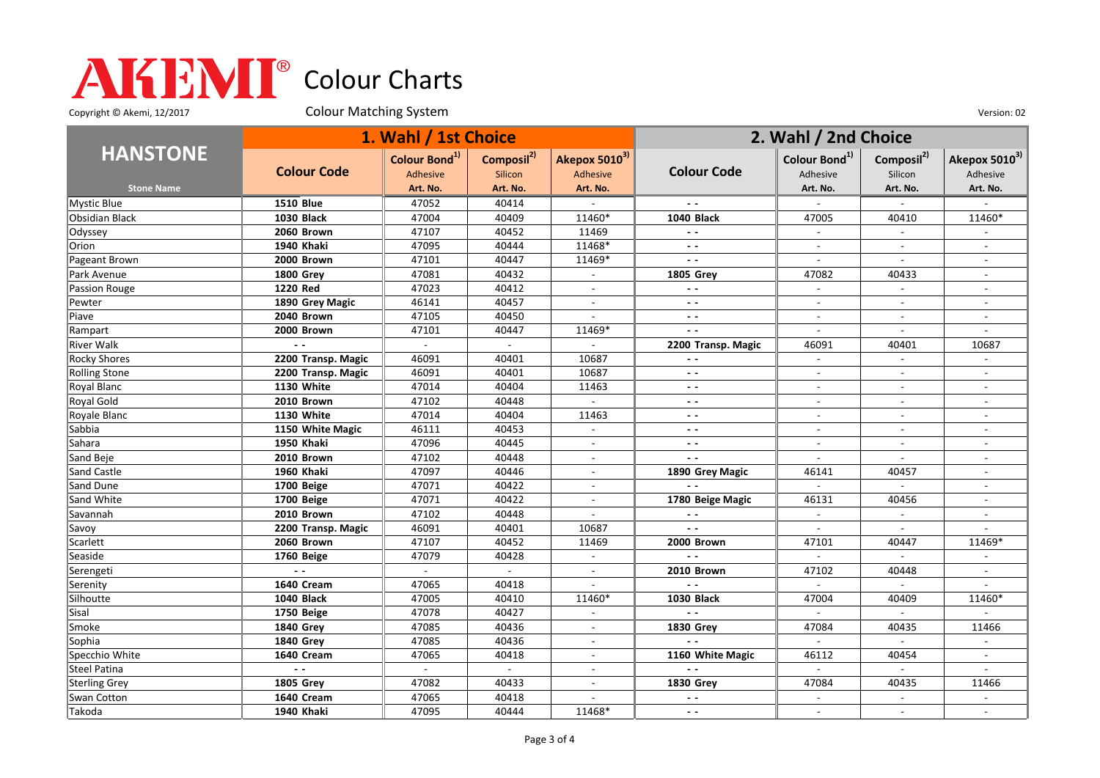Copyright © Akemi, 12/2017 Colour Matching System Colour Matching Constant Constant Out of the Version: 02

|                       | 1. Wahl / 1st Choice |                                              |                                   |                           | 2. Wahl / 2nd Choice |                                       |                                   |                           |
|-----------------------|----------------------|----------------------------------------------|-----------------------------------|---------------------------|----------------------|---------------------------------------|-----------------------------------|---------------------------|
| <b>HANSTONE</b>       | <b>Colour Code</b>   | Colour Bond <sup>1)</sup><br><b>Adhesive</b> | Composil <sup>2)</sup><br>Silicon | Akepox 50103)<br>Adhesive | <b>Colour Code</b>   | Colour Bond <sup>1)</sup><br>Adhesive | Composil <sup>2)</sup><br>Silicon | Akepox 50103)<br>Adhesive |
| <b>Stone Name</b>     |                      | Art. No.                                     | Art. No.                          | Art. No.                  |                      | Art. No.                              | Art. No.                          | Art. No.                  |
| Mystic Blue           | <b>1510 Blue</b>     | 47052                                        | 40414                             |                           |                      |                                       |                                   |                           |
| <b>Obsidian Black</b> | <b>1030 Black</b>    | 47004                                        | 40409                             | 11460*                    | 1040 Black           | 47005                                 | 40410                             | 11460*                    |
| Odyssey               | 2060 Brown           | 47107                                        | 40452                             | 11469                     | $\sim$ $\sim$        | $\overline{\phantom{a}}$              | $\overline{\phantom{a}}$          |                           |
| Orion                 | 1940 Khaki           | 47095                                        | 40444                             | 11468*                    | $\sim$ $\sim$        | $\overline{a}$                        | $\overline{a}$                    | $\overline{a}$            |
| Pageant Brown         | 2000 Brown           | 47101                                        | 40447                             | 11469*                    | $\sim$ $\sim$        | $\overline{a}$                        | $\mathbf{r}$                      | $\overline{a}$            |
| Park Avenue           | <b>1800 Grey</b>     | 47081                                        | 40432                             |                           | <b>1805 Grey</b>     | 47082                                 | 40433                             |                           |
| Passion Rouge         | 1220 Red             | 47023                                        | 40412                             | $\mathbf{r}$              | $\sim$ $\sim$        | $\blacksquare$                        | $\overline{\phantom{a}}$          | $\blacksquare$            |
| Pewter                | 1890 Grey Magic      | 46141                                        | 40457                             | $\blacksquare$            | $\sim$ $\sim$        | $\blacksquare$                        | $\overline{a}$                    | $\overline{\phantom{a}}$  |
| Piave                 | 2040 Brown           | 47105                                        | 40450                             | $\overline{a}$            | $\sim$ $\sim$        | $\overline{\phantom{a}}$              | $\overline{a}$                    | $\overline{a}$            |
| Rampart               | 2000 Brown           | 47101                                        | 40447                             | 11469*                    | $\sim$ $\sim$        | $\overline{a}$                        |                                   |                           |
| <b>River Walk</b>     |                      |                                              | $\overline{a}$                    |                           | 2200 Transp. Magic   | 46091                                 | 40401                             | 10687                     |
| <b>Rocky Shores</b>   | 2200 Transp. Magic   | 46091                                        | 40401                             | 10687                     | $ -$                 | $\sim$                                | $\blacksquare$                    | $\sim$                    |
| <b>Rolling Stone</b>  | 2200 Transp. Magic   | 46091                                        | 40401                             | 10687                     | $ -$                 | $\overline{\phantom{a}}$              | $\overline{\phantom{a}}$          | $\blacksquare$            |
| Royal Blanc           | 1130 White           | 47014                                        | 40404                             | 11463                     | $ -$                 | $\overline{\phantom{a}}$              | $\sim$                            | $\overline{\phantom{a}}$  |
| Royal Gold            | 2010 Brown           | 47102                                        | 40448                             |                           | $ -$                 | $\overline{a}$                        |                                   |                           |
| Royale Blanc          | 1130 White           | 47014                                        | 40404                             | 11463                     | $ -$                 | $\overline{a}$                        | $\overline{a}$                    | $\overline{a}$            |
| Sabbia                | 1150 White Magic     | 46111                                        | 40453                             | $\blacksquare$            | $ -$                 | $\sim$                                | $\blacksquare$                    | $\overline{\phantom{a}}$  |
| Sahara                | 1950 Khaki           | 47096                                        | 40445                             | $\overline{a}$            | $\sim$ $\sim$        | $\overline{a}$                        | $\overline{a}$                    | $\overline{\phantom{a}}$  |
| Sand Beje             | 2010 Brown           | 47102                                        | 40448                             | $\overline{\phantom{a}}$  | $\sim$ $\sim$        | $\overline{\phantom{a}}$              | $\overline{\phantom{a}}$          | $\blacksquare$            |
| Sand Castle           | 1960 Khaki           | 47097                                        | 40446                             |                           | 1890 Grey Magic      | 46141                                 | 40457                             |                           |
| Sand Dune             | 1700 Beige           | 47071                                        | 40422                             | $\sim$                    |                      | $\overline{a}$                        | $\sim$                            | $\overline{a}$            |
| Sand White            | 1700 Beige           | 47071                                        | 40422                             | $\blacksquare$            | 1780 Beige Magic     | 46131                                 | 40456                             | $\overline{\phantom{a}}$  |
| Savannah              | 2010 Brown           | 47102                                        | 40448                             | $\blacksquare$            | $\sim$ $\sim$        | $\sim$                                | $\overline{\phantom{a}}$          | $\overline{a}$            |
| Savoy                 | 2200 Transp. Magic   | 46091                                        | 40401                             | 10687                     | $\sim$ $\sim$        | $\sim$                                | $\overline{\phantom{a}}$          |                           |
| Scarlett              | 2060 Brown           | 47107                                        | 40452                             | 11469                     | 2000 Brown           | 47101                                 | 40447                             | 11469*                    |
| Seaside               | 1760 Beige           | 47079                                        | 40428                             | $\mathbf{r}$              | $\overline{a}$       | $\overline{a}$                        | $\mathbf{r}$                      |                           |
| Serengeti             |                      |                                              |                                   | $\overline{\phantom{a}}$  | 2010 Brown           | 47102                                 | 40448                             |                           |
| Serenity              | 1640 Cream           | 47065                                        | 40418                             | $\sim$                    | $\sim$ $\sim$        | $\sim$                                | $\overline{\phantom{a}}$          | $\overline{a}$            |
| Silhoutte             | 1040 Black           | 47005                                        | 40410                             | 11460*                    | <b>1030 Black</b>    | 47004                                 | 40409                             | 11460*                    |
| Sisal                 | 1750 Beige           | 47078                                        | 40427                             | $\overline{a}$            | $\sim$ $\sim$        | $\sim$                                | $\mathbb{L}^+$                    |                           |
| Smoke                 | <b>1840 Grev</b>     | 47085                                        | 40436                             | $\sim$                    | <b>1830 Grey</b>     | 47084                                 | 40435                             | 11466                     |
| Sophia                | <b>1840 Grey</b>     | 47085                                        | 40436                             | $\overline{\phantom{a}}$  |                      |                                       |                                   |                           |
| Specchio White        | 1640 Cream           | 47065                                        | 40418                             | $\blacksquare$            | 1160 White Magic     | 46112                                 | 40454                             | $\overline{\phantom{a}}$  |
| <b>Steel Patina</b>   | $\sim$ $\sim$        |                                              | $\mathbf{r}$                      |                           | $\sim$ $\sim$        | $\mathbf{r}$                          |                                   |                           |
| <b>Sterling Grey</b>  | <b>1805 Grey</b>     | 47082                                        | 40433                             | $\mathbf{r}$              | <b>1830 Grey</b>     | 47084                                 | 40435                             | 11466                     |
| Swan Cotton           | 1640 Cream           | 47065                                        | 40418                             |                           | $\sim$ $\sim$        | $\overline{\phantom{a}}$              | $\overline{\phantom{a}}$          |                           |
| Takoda                | 1940 Khaki           | 47095                                        | 40444                             | 11468*                    | $ -$                 |                                       | $\sim$                            | $\overline{a}$            |